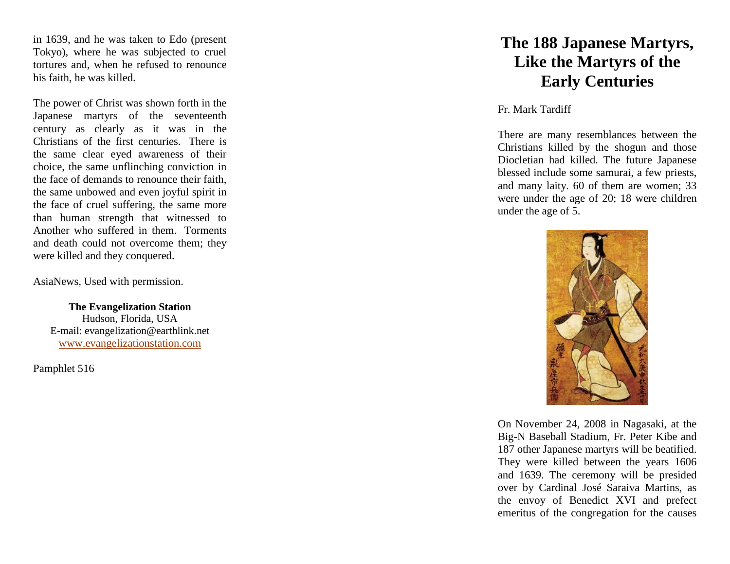in 1639, and he was taken to Edo (present Tokyo), where he was subjected to cruel tortures and, when he refused to renounce his faith, he was killed.

The power of Christ was shown forth in the Japanese martyrs of the seventeenth century as clearly as it was in the Christians of the first centuries. There is the same clear eyed awareness of their choice, the same unflinching conviction in the face of demands to renounce their faith, the same unbowed and even joyful spirit in the face of cruel suffering, the same more than human strength that witnessed to Another who suffered in them. Torments and death could not overcome them; they were killed and they conquered.

AsiaNews, Used with permission.

**The Evangelization Station** Hudson, Florida, USA E -mail: evangelization@earthlink.net [www.evangelizationstation.com](http://www.pjpiisoe.org/)

Pamphlet 516

## **The 188 Japanese Martyrs, Like the Martyrs of the Early Centuries**

Fr. Mark Tardiff

There are many resemblances between the Christians killed by the shogun and those Diocletian had killed. The future Japanese blessed include some samurai, a few priests, and many laity. 60 of them are women; 33 were under the age of 20; 18 were children under the age of 5.



On November 24, 2008 in Nagasaki, at the Big -N Baseball Stadium, Fr. Peter Kibe and 187 other Japanese martyrs will be beatified. They were killed between the years 1606 and 1639. The ceremony will be presided over by Cardinal José Saraiva Martins, as the envoy of Benedict XVI and prefect emeritus of the congregation for the causes